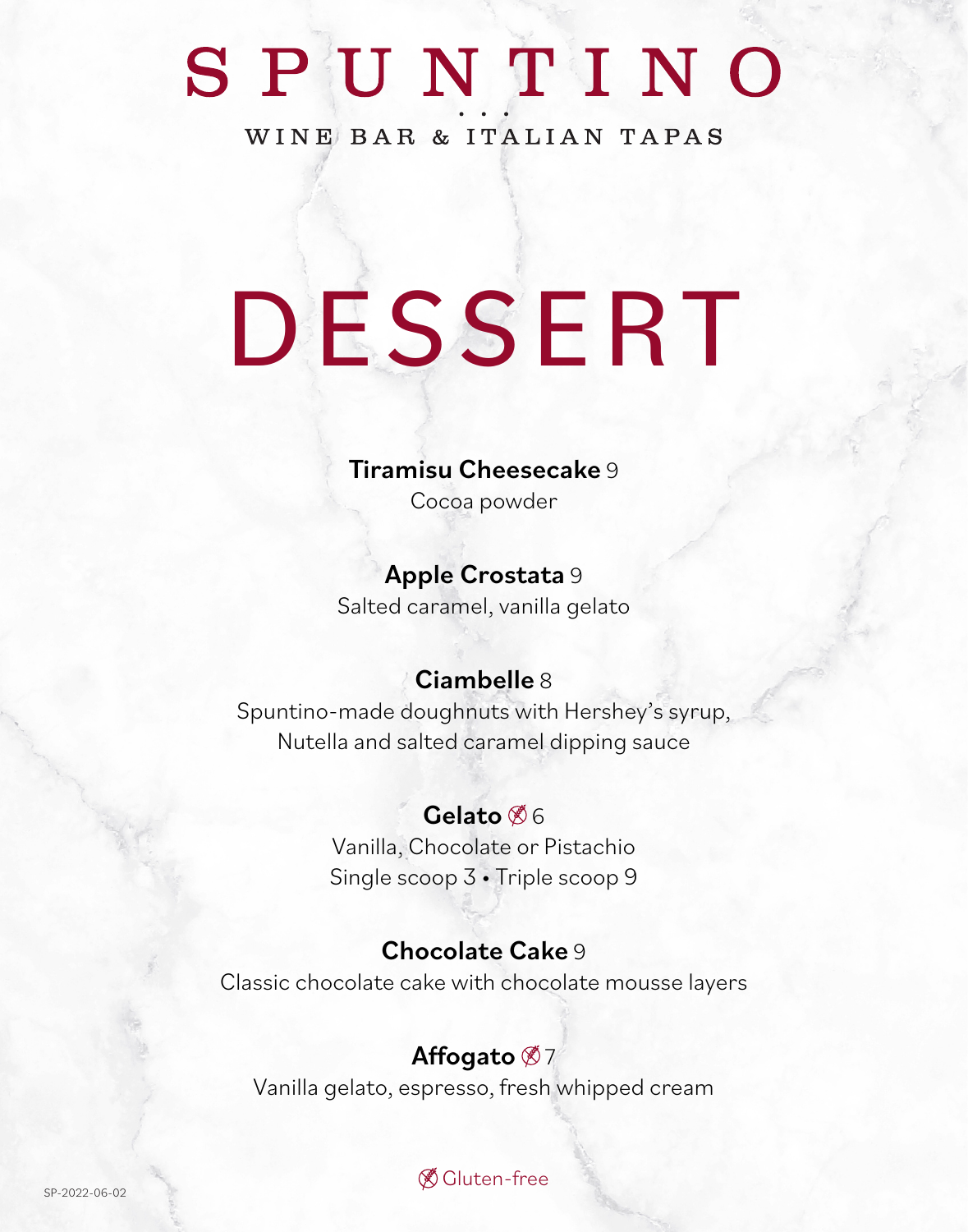# SPUNTINO

WINE BAR & ITALIAN TAPAS

# DESSERT

#### Tiramisu Cheesecake 9

Cocoa powder

### Apple Crostata 9

Salted caramel, vanilla gelato

#### Ciambelle 8

Spuntino-made doughnuts with Hershey's syrup, Nutella and salted caramel dipping sauce

## Gelato **66**

Vanilla, Chocolate or Pistachio Single scoop 3 • Triple scoop 9

#### Chocolate Cake 9

Classic chocolate cake with chocolate mousse layers

# Affogato  $\mathscr{D}$  7

Vanilla gelato, espresso, fresh whipped cream

# Gluten-free SP-2022-06-02